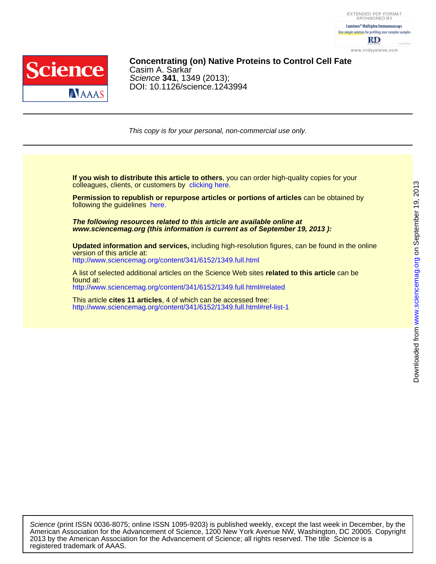

## DOI: 10.1126/science.1243994 Science **341**, 1349 (2013); Casim A. Sarkar **Concentrating (on) Native Proteins to Control Cell Fate**

This copy is for your personal, non-commercial use only.

colleagues, clients, or customers by [clicking here.](http://www.sciencemag.org/about/permissions.dtl) **If you wish to distribute this article to others**, you can order high-quality copies for your

following the guidelines [here.](http://www.sciencemag.org/about/permissions.dtl) **Permission to republish or repurpose articles or portions of articles** can be obtained by

**www.sciencemag.org (this information is current as of September 19, 2013 ): The following resources related to this article are available online at**

<http://www.sciencemag.org/content/341/6152/1349.full.html> version of this article at: **Updated information and services,** including high-resolution figures, can be found in the online

<http://www.sciencemag.org/content/341/6152/1349.full.html#related> found at: A list of selected additional articles on the Science Web sites **related to this article** can be

<http://www.sciencemag.org/content/341/6152/1349.full.html#ref-list-1> This article **cites 11 articles**, 4 of which can be accessed free:

registered trademark of AAAS. 2013 by the American Association for the Advancement of Science; all rights reserved. The title Science is a American Association for the Advancement of Science, 1200 New York Avenue NW, Washington, DC 20005. Copyright Science (print ISSN 0036-8075; online ISSN 1095-9203) is published weekly, except the last week in December, by the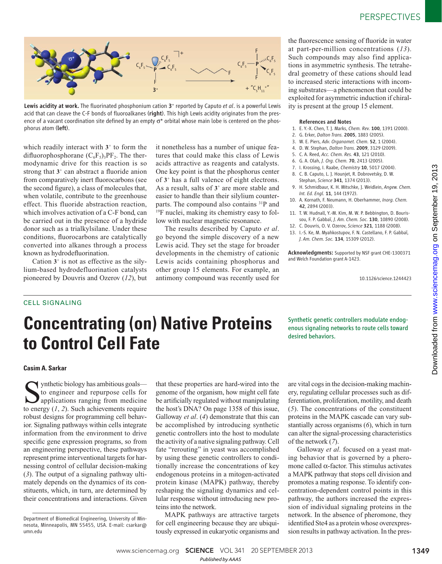

Lewis acidity at work. The fluorinated phosphonium cation 3<sup>+</sup> reported by Caputo et al. is a powerful Lewis acid that can cleave the C-F bonds of fluoroalkanes (right). This high Lewis acidity originates from the presence of a vacant coordination site defined by an empty σ\* orbital whose main lobe is centered on the phosphorus atom (left).

which readily interact with  $3<sup>+</sup>$  to form the difluorophosphorane  $(C_6F_5)_3PF_2$ . The thermodynamic drive for this reaction is so strong that  $3^+$  can abstract a fluoride anion from comparatively inert fluorocarbons (see the second figure), a class of molecules that, when volatile, contribute to the greenhouse effect. This fluoride abstraction reaction, which involves activation of a C-F bond, can be carried out in the presence of a hydride donor such as a trialkylsilane. Under these conditions, fluorocarbons are catalytically converted into alkanes through a process known as hydrodefluorination.

Cation  $3^+$  is not as effective as the silylium-based hydrodefluorination catalysts pioneered by Douvris and Ozerov (*12*), but it nonetheless has a number of unique features that could make this class of Lewis acids attractive as reagents and catalysts. One key point is that the phosphorus center of **3** + has a full valence of eight electrons. As a result, salts of **3** <sup>+</sup> are more stable and easier to handle than their silylium counterparts. The compound also contains <sup>31</sup>P and <sup>19</sup>F nuclei, making its chemistry easy to follow with nuclear magnetic resonance.

The results described by Caputo *et al*. go beyond the simple discovery of a new Lewis acid. They set the stage for broader developments in the chemistry of cationic Lewis acids containing phosphorus and other group 15 elements. For example, an antimony compound was recently used for the fluorescence sensing of fluoride in water at part-per-million concentrations (*13*). Such compounds may also find applications in asymmetric synthesis. The tetrahedral geometry of these cations should lead to increased steric interactions with incoming substrates—a phenomenon that could be exploited for asymmetric induction if chirality is present at the group 15 element.

#### References and Notes

- 1. E. Y.-X. Chen, T. J. Marks, *Chem. Rev.* 100, 1391 (2000).
- 2. G. Erker, *Dalton Trans.* 2005, 1883 (2005).
- 3. W. E. Piers, *Adv. Organomet. Chem.* 52, 1 (2004).
- 4. D. W. Stephan, *Dalton Trans.* 2009, 3129 (2009).
- 5. C. A. Reed, *Acc. Chem. Res.* 43, 121 (2010).
- 6. G. A. Olah, *J. Org. Chem.* 70, 2413 (2005).
- 7. I. Krossing, I. Raabe, *Chemistry* 10, 5017 (2004). 8. C. B. Caputo, L. J. Hounjet, R. Dobrovetsky, D. W. Stephan, *Science* 341, 1374 (2013).
- 9. H. Schmidbaur, K. H. Mitschke, J. Weidlein, *Angew. Chem. Int. Ed. Engl.* 11, 144 (1972).
- 10. A. Kornath, F. Neumann, H. Oberhammer, *Inorg. Chem.* 42, 2894 (2003).
- 11. T. W. Hudnall, Y.-M. Kim, M. W. P. Bebbington, D. Bourissou, F. P. Gabbaï, *J. Am. Chem. Soc.* 130, 10890 (2008).
- 12. C. Douvris, O. V. Ozerov, *Science* 321, 1188 (2008).
- 13. I.-S. Ke, M. Myahkostupov, F. N. Castellano, F. P. Gabbaï, *J. Am. Chem. Soc.* 134, 15309 (2012).

Acknowledgments: Supported by NSF grant CHE-1300371 and Welch Foundation grant A-1423.

10.1126/science.1244423

### CELL SIGNALING

# **Concentrating (on) Native Proteins to Control Cell Fate**

Synthetic genetic controllers modulate endogenous signaling networks to route cells toward desired behaviors.

#### **Casim A. Sarkar**

 $\sum$  ynthetic biology has ambitious goals—<br>to engineer and repurpose cells for<br>to energy (1–2). Such achievements require to engineer and repurpose cells for to energy  $(1, 2)$ . Such achievements require robust designs for programming cell behavior. Signaling pathways within cells integrate information from the environment to drive specific gene expression programs, so from an engineering perspective, these pathways represent prime interventional targets for harnessing control of cellular decision-making ( *3*). The output of a signaling pathway ultimately depends on the dynamics of its constituents, which, in turn, are determined by their concentrations and interactions. Given

that these properties are hard-wired into the genome of the organism, how might cell fate be artificially regulated without manipulating the host's DNA? On page 1358 of this issue, Galloway *et al.* (4) demonstrate that this can be accomplished by introducing synthetic genetic controllers into the host to modulate the activity of a native signaling pathway. Cell fate "rerouting" in yeast was accomplished by using these genetic controllers to conditionally increase the concentrations of key endogenous proteins in a mitogen-activated protein kinase (MAPK) pathway, thereby reshaping the signaling dynamics and cellular response without introducing new proteins into the network.

MAPK pathways are attractive targets for cell engineering because they are ubiquitously expressed in eukaryotic organisms and are vital cogs in the decision-making machinery, regulating cellular processes such as differentiation, proliferation, motility, and death ( *5*). The concentrations of the constituent proteins in the MAPK cascade can vary substantially across organisms (6), which in turn can alter the signal-processing characteristics of the network ( *7*).

Galloway *et al*. focused on a yeast mating behavior that is governed by a pheromone called  $\alpha$ -factor. This stimulus activates a MAPK pathway that stops cell division and promotes a mating response. To identify concentration-dependent control points in this pathway, the authors increased the expression of individual signaling proteins in the network. In the absence of pheromone, they identified Ste4 as a protein whose overexpression results in pathway activation. In the pres-

www.sciencemag.org **SCIENCE** VOL 341 20 SEPTEMBER 2013 1349 *Published byAAAS*

Department of Biomedical Engineering, University of Minnesota, Minneapolis, MN 55455, USA. E-mail: csarkar@ umn.edu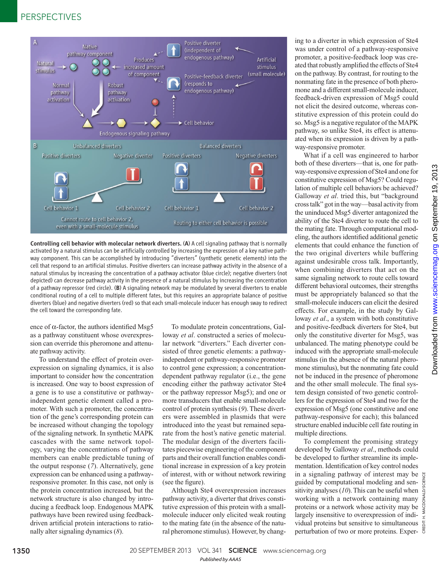## PERSPECTIVES



Controlling cell behavior with molecular network diverters. (A) A cell signaling pathway that is normally activated by a natural stimulus can be artificially controlled by increasing the expression of a key native pathway component. This can be accomplished by introducing "diverters" (synthetic genetic elements) into the cell that respond to an artificial stimulus. Positive diverters can increase pathway activity in the absence of a natural stimulus by increasing the concentration of a pathway activator (blue circle); negative diverters (not depicted) can decrease pathway activity in the presence of a natural stimulus by increasing the concentration of a pathway repressor (red circle). (B) A signaling network may be modulated by several diverters to enable conditional routing of a cell to multiple different fates, but this requires an appropriate balance of positive diverters (blue) and negative diverters (red) so that each small-molecule inducer has enough sway to redirect the cell toward the corresponding fate.

ence of  $\alpha$ -factor, the authors identified Msg5 as a pathway constituent whose overexpression can override this pheromone and attenuate pathway activity.

To understand the effect of protein overexpression on signaling dynamics, it is also important to consider how the concentration is increased. One way to boost expression of a gene is to use a constitutive or pathwayindependent genetic element called a promoter. With such a promoter, the concentration of the gene's corresponding protein can be increased without changing the topology of the signaling network. In synthetic MAPK cascades with the same network topology, varying the concentrations of pathway members can enable predictable tuning of the output response ( *7*). Alternatively, gene expression can be enhanced using a pathwayresponsive promoter. In this case, not only is the protein concentration increased, but the network structure is also changed by introducing a feedback loop. Endogenous MAPK pathways have been rewired using feedbackdriven artificial protein interactions to rationally alter signaling dynamics ( *8*).

To modulate protein concentrations, Galloway *et al*. constructed a series of molecular network "diverters." Each diverter consisted of three genetic elements: a pathwayindependent or pathway-responsive promoter to control gene expression; a concentrationdependent pathway regulator (i.e., the gene encoding either the pathway activator Ste4 or the pathway repressor Msg5); and one or more transducers that enable small-molecule control of protein synthesis (9). These diverters were assembled in plasmids that were introduced into the yeast but remained separate from the host's native genetic material. The modular design of the diverters facilitates piecewise engineering of the component parts and their overall function enables conditional increase in expression of a key protein of interest, with or without network rewiring (see the figure).

Although Ste4 overexpression increases pathway activity, a diverter that drives constitutive expression of this protein with a smallmolecule inducer only elicited weak routing to the mating fate (in the absence of the natural pheromone stimulus). However, by changing to a diverter in which expression of Ste4 was under control of a pathway-responsive promoter, a positive-feedback loop was created that robustly amplified the effects of Ste4 on the pathway. By contrast, for routing to the nonmating fate in the presence of both pheromone and a different small-molecule inducer, feedback-driven expression of Msg5 could not elicit the desired outcome, whereas constitutive expression of this protein could do so. Msg5 is a negative regulator of the MAPK pathway, so unlike Ste4, its effect is attenuated when its expression is driven by a pathway-responsive promoter.

What if a cell was engineered to harbor both of these diverters—that is, one for pathway-responsive expression of Ste4 and one for constitutive expression of Msg5? Could regulation of multiple cell behaviors be achieved? Galloway *et al*. tried this, but "background cross talk" got in the way—basal activity from the uninduced Msg5 diverter antagonized the ability of the Ste4 diverter to route the cell to the mating fate. Through computational modeling, the authors identified additional genetic elements that could enhance the function of the two original diverters while buffering against undesirable cross talk. Importantly, when combining diverters that act on the same signaling network to route cells toward different behavioral outcomes, their strengths must be appropriately balanced so that the small-molecule inducers can elicit the desired effects. For example, in the study by Galloway *et al*., a system with both constitutive and positive-feedback diverters for Ste4, but only the constitutive diverter for Msg5, was unbalanced. The mating phenotype could be induced with the appropriate small-molecule stimulus (in the absence of the natural pheromone stimulus), but the nonmating fate could not be induced in the presence of pheromone and the other small molecule. The final system design consisted of two genetic controllers for the expression of Ste4 and two for the expression of Msg5 (one constitutive and one pathway-responsive for each); this balanced structure enabled inducible cell fate routing in multiple directions.

To complement the promising strategy developed by Galloway *et al*., methods could be developed to further streamline its implementation. Identification of key control nodes in a signaling pathway of interest may be guided by computational modeling and sensitivity analyses (10). This can be useful when working with a network containing many proteins or a network whose activity may be largely insensitive to overexpression of individual proteins but sensitive to simultaneous perturbation of two or more proteins. Exper-

CREDIT: H. MACDONALD/SCIENCE . MACDONA